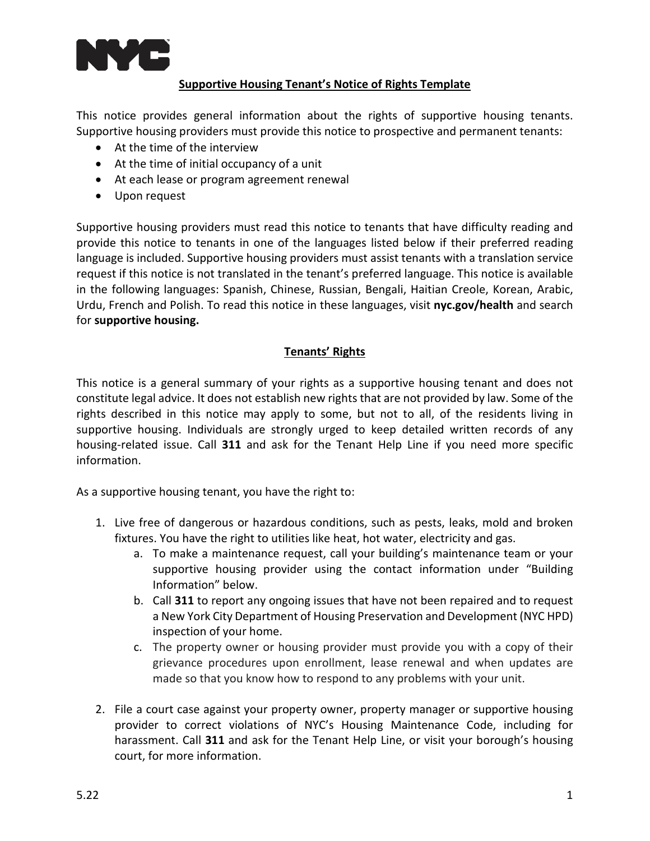

## **Supportive Housing Tenant's Notice of Rights Template**

This notice provides general information about the rights of supportive housing tenants. Supportive housing providers must provide this notice to prospective and permanent tenants:

- At the time of the interview
- At the time of initial occupancy of a unit
- At each lease or program agreement renewal
- Upon request

Supportive housing providers must read this notice to tenants that have difficulty reading and provide this notice to tenants in one of the languages listed below if their preferred reading language is included. Supportive housing providers must assist tenants with a translation service request if this notice is not translated in the tenant's preferred language. This notice is available in the following languages: Spanish, Chinese, Russian, Bengali, Haitian Creole, Korean, Arabic, Urdu, French and Polish. To read this notice in these languages, visit **[nyc.gov/health](https://nyc.gov/health)** and search for **[supportive housing.](https://www1.nyc.gov/site/doh/health/health-topics/housing-services-supportive-housing.page)**

## **Tenants' Rights**

This notice is a general summary of your rights as a supportive housing tenant and does not constitute legal advice. It does not establish new rights that are not provided by law. Some of the rights described in this notice may apply to some, but not to all, of the residents living in supportive housing. Individuals are strongly urged to keep detailed written records of any housing-related issue. Call **311** and ask for the Tenant Help Line if you need more specific information.

As a supportive housing tenant, you have the right to:

- 1. Live free of dangerous or hazardous conditions, such as pests, leaks, mold and broken fixtures. You have the right to utilities like heat, hot water, electricity and gas.
	- a. To make a maintenance request, call your building's maintenance team or your supportive housing provider using the contact information under "Building Information" below.
	- b. Call **311** to report any ongoing issues that have not been repaired and to request a New York City Department of Housing Preservation and Development (NYC HPD) inspection of your home.
	- c. The property owner or housing provider must provide you with a copy of their grievance procedures upon enrollment, lease renewal and when updates are made so that you know how to respond to any problems with your unit.
- 2. File a court case against your property owner, property manager or supportive housing provider to correct violations of NYC's Housing Maintenance Code, including for harassment. Call **311** and ask for the Tenant Help Line, or visit your borough's housing court, for more information.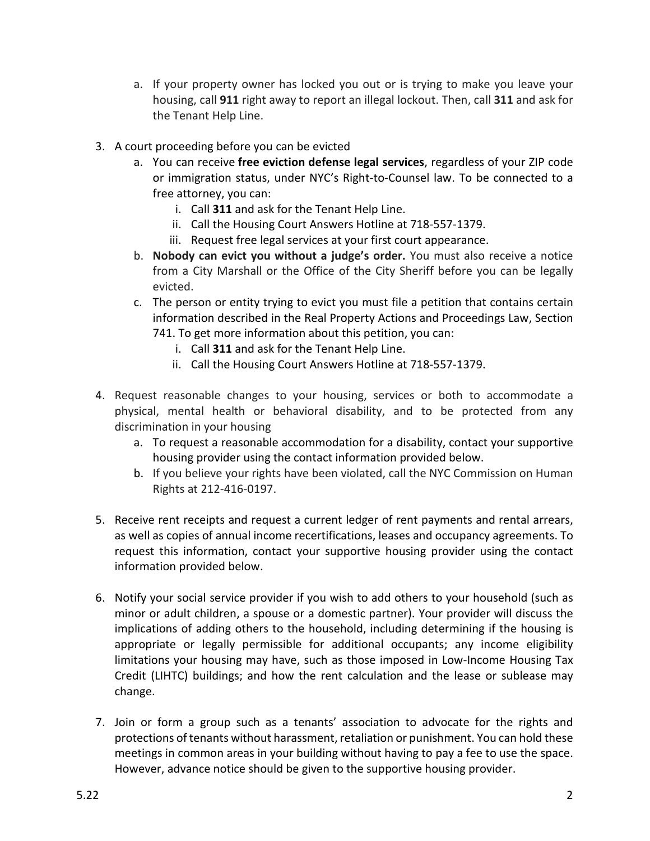- a. If your property owner has locked you out or is trying to make you leave your housing, call **911** right away to report an illegal lockout. Then, call **311** and ask for the Tenant Help Line.
- 3. A court proceeding before you can be evicted
	- a. You can receive **free eviction defense legal services**, regardless of your ZIP code or immigration status, under NYC's Right-to-Counsel law. To be connected to a free attorney, you can:
		- i. Call **311** and ask for the Tenant Help Line.
		- ii. Call the Housing Court Answers Hotline at 718-557-1379.
		- iii. Request free legal services at your first court appearance.
	- b. **Nobody can evict you without a judge's order.** You must also receive a notice from a City Marshall or the Office of the City Sheriff before you can be legally evicted.
	- c. The person or entity trying to evict you must file a petition that contains certain information described in the Real Property Actions and Proceedings Law, Section 741. To get more information about this petition, you can:
		- i. Call **311** and ask for the Tenant Help Line.
		- ii. Call the Housing Court Answers Hotline at 718-557-1379.
- 4. Request reasonable changes to your housing, services or both to accommodate a physical, mental health or behavioral disability, and to be protected from any discrimination in your housing
	- a. To request a reasonable accommodation for a disability, contact your supportive housing provider using the contact information provided below.
	- b. If you believe your rights have been violated, call the NYC Commission on Human Rights at 212-416-0197.
- 5. Receive rent receipts and request a current ledger of rent payments and rental arrears, as well as copies of annual income recertifications, leases and occupancy agreements. To request this information, contact your supportive housing provider using the contact information provided below.
- 6. Notify your social service provider if you wish to add others to your household (such as minor or adult children, a spouse or a domestic partner). Your provider will discuss the implications of adding others to the household, including determining if the housing is appropriate or legally permissible for additional occupants; any income eligibility limitations your housing may have, such as those imposed in Low-Income Housing Tax Credit (LIHTC) buildings; and how the rent calculation and the lease or sublease may change.
- 7. Join or form a group such as a tenants' association to advocate for the rights and protections of tenants without harassment, retaliation or punishment. You can hold these meetings in common areas in your building without having to pay a fee to use the space. However, advance notice should be given to the supportive housing provider.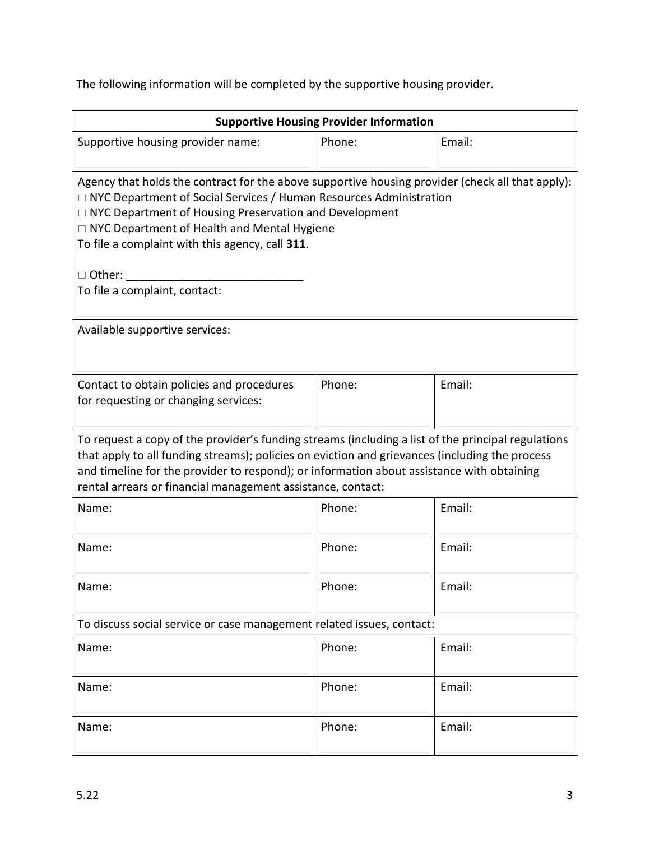The following information will be completed by the supportive housing provider.

| <b>Supportive Housing Provider Information</b>                                                                                                                                                                                                                                                                                                                                                            |        |        |  |  |
|-----------------------------------------------------------------------------------------------------------------------------------------------------------------------------------------------------------------------------------------------------------------------------------------------------------------------------------------------------------------------------------------------------------|--------|--------|--|--|
| Supportive housing provider name:                                                                                                                                                                                                                                                                                                                                                                         | Phone: | Email: |  |  |
| Agency that holds the contract for the above supportive housing provider (check all that apply):<br>□ NYC Department of Social Services / Human Resources Administration<br>□ NYC Department of Housing Preservation and Development<br>□ NYC Department of Health and Mental Hygiene<br>To file a complaint with this agency, call 311.<br>□ Other: ___________________<br>To file a complaint, contact: |        |        |  |  |
| Available supportive services:                                                                                                                                                                                                                                                                                                                                                                            |        |        |  |  |
| Contact to obtain policies and procedures<br>for requesting or changing services:                                                                                                                                                                                                                                                                                                                         | Phone: | Email: |  |  |
| To request a copy of the provider's funding streams (including a list of the principal regulations<br>that apply to all funding streams); policies on eviction and grievances (including the process<br>and timeline for the provider to respond); or information about assistance with obtaining<br>rental arrears or financial management assistance, contact:                                          |        |        |  |  |
| Name:                                                                                                                                                                                                                                                                                                                                                                                                     | Phone: | Email: |  |  |
| Name:                                                                                                                                                                                                                                                                                                                                                                                                     | Phone: | Email: |  |  |
| Name:                                                                                                                                                                                                                                                                                                                                                                                                     | Phone: | Email: |  |  |
| To discuss social service or case management related issues, contact:                                                                                                                                                                                                                                                                                                                                     |        |        |  |  |
| Name:                                                                                                                                                                                                                                                                                                                                                                                                     | Phone: | Email: |  |  |
| Name:                                                                                                                                                                                                                                                                                                                                                                                                     | Phone: | Email: |  |  |
| Name:                                                                                                                                                                                                                                                                                                                                                                                                     | Phone: | Email: |  |  |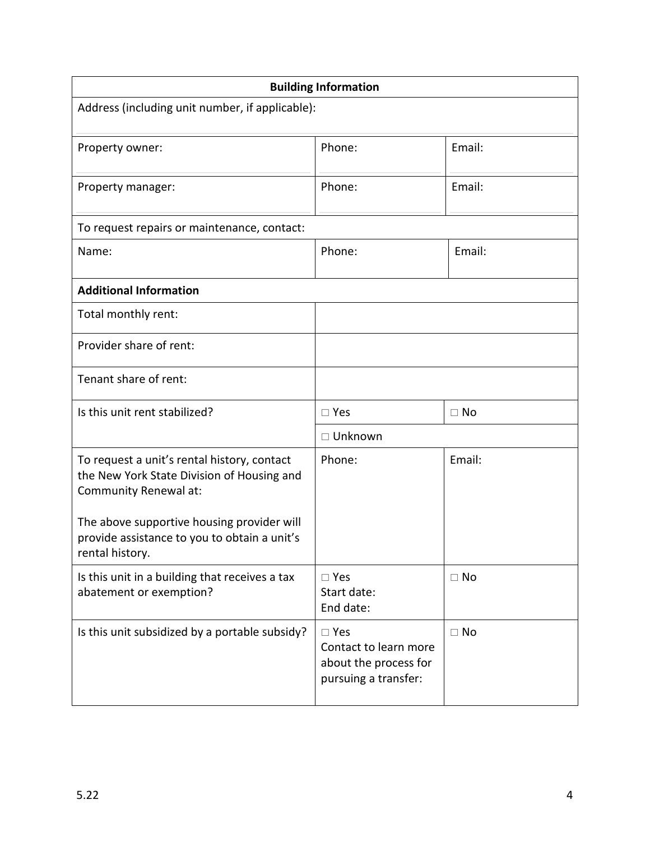| <b>Building Information</b>                                                                                        |                                                                                         |           |  |
|--------------------------------------------------------------------------------------------------------------------|-----------------------------------------------------------------------------------------|-----------|--|
| Address (including unit number, if applicable):                                                                    |                                                                                         |           |  |
| Property owner:                                                                                                    | Phone:                                                                                  | Email:    |  |
| Property manager:                                                                                                  | Phone:                                                                                  | Email:    |  |
| To request repairs or maintenance, contact:                                                                        |                                                                                         |           |  |
| Name:                                                                                                              | Phone:                                                                                  | Email:    |  |
| <b>Additional Information</b>                                                                                      |                                                                                         |           |  |
| Total monthly rent:                                                                                                |                                                                                         |           |  |
| Provider share of rent:                                                                                            |                                                                                         |           |  |
| Tenant share of rent:                                                                                              |                                                                                         |           |  |
| Is this unit rent stabilized?                                                                                      | $\square$ Yes                                                                           | $\Box$ No |  |
|                                                                                                                    | □ Unknown                                                                               |           |  |
| To request a unit's rental history, contact<br>the New York State Division of Housing and<br>Community Renewal at: | Phone:                                                                                  | Email:    |  |
| The above supportive housing provider will<br>provide assistance to you to obtain a unit's<br>rental history.      |                                                                                         |           |  |
| Is this unit in a building that receives a tax<br>abatement or exemption?                                          | $\square$ Yes<br>Start date:<br>End date:                                               | $\Box$ No |  |
| Is this unit subsidized by a portable subsidy?                                                                     | $\square$ Yes<br>Contact to learn more<br>about the process for<br>pursuing a transfer: | $\Box$ No |  |